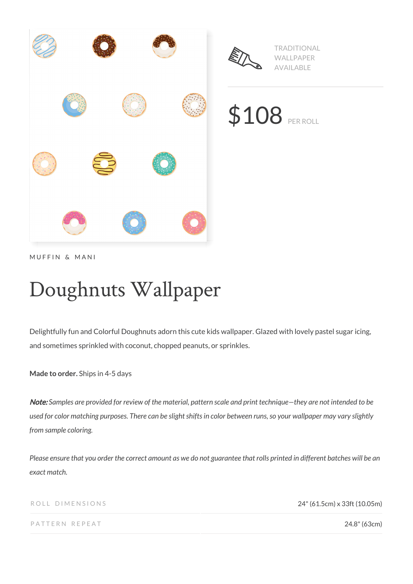

MUFFIN & MANI

# Doughnuts Wallpaper

Delightfully fun and Colorful Doughnuts adorn this cute kids wallpaper. Glazed with lovely pastel sugar icing, and sometimes sprinkled with coconut, chopped peanuts, or sprinkles.

**Made to order.** Ships in 4-5 days

Note: *Samples are provided for review of the material, pattern scale and print technique—they are not intended to be used for color matching purposes. There can be slight shifts in color between runs, so your wallpaper may vary slightly from sample coloring.*

*Please ensure that you order the correct amount as we do not guarantee that rolls printed in different batches will be an exact match.*

ROLL DIMENSIONS 24" (61.5cm) x 33ft (10.05m)

PATTERN REPEAT 24.8" (63cm)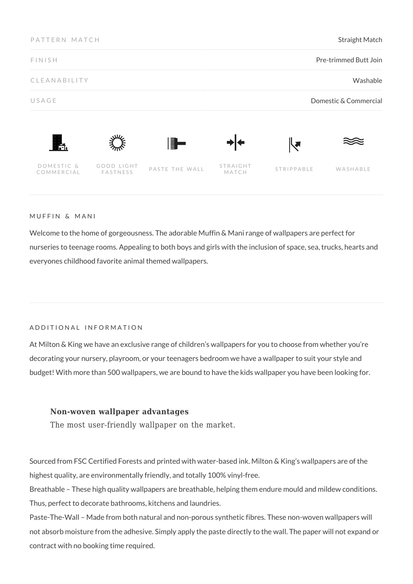| PATTERN MATCH<br><b>FINISH</b> |                        |                | <b>Straight Match</b><br>Pre-trimmed Butt Join |            |                       |
|--------------------------------|------------------------|----------------|------------------------------------------------|------------|-----------------------|
|                                |                        |                |                                                |            |                       |
| USAGE                          |                        |                |                                                |            | Domestic & Commercial |
| Ħ.                             |                        | $\blacksquare$ |                                                | ┞┛         |                       |
| DOMESTIC &<br>COMMERCIAL       | GOOD LIGHT<br>FASTNESS | PASTE THE WALL | STRAIGHT<br>MATCH                              | STRIPPABLE | WASHABLE              |

#### MUFFIN & MANI

Welcome to the home of gorgeousness. The adorable Muffin & Mani range of wallpapers are perfect for nurseries to teenage rooms. Appealing to both boys and girls with the inclusion of space, sea, trucks, hearts and everyones childhood favorite animal themed wallpapers.

#### ADDITIONAL INFORMATION

At Milton & King we have an exclusive range of children's wallpapers for you to choose from whether you're decorating your nursery, playroom, or your teenagers bedroom we have a wallpaper to suit your style and budget! With more than 500 wallpapers, we are bound to have the kids wallpaper you have been looking for.

# **Non-woven wallpaper advantages**

The most user-friendly wallpaper on the market.

Sourced from FSC Certified Forests and printed with water-based ink. Milton & King's wallpapers are of the highest quality, are environmentally friendly, and totally 100% vinyl-free.

Breathable – These high quality wallpapers are breathable, helping them endure mould and mildew conditions. Thus, perfect to decorate bathrooms, kitchens and laundries.

Paste-The-Wall – Made from both natural and non-porous synthetic fibres. These non-woven wallpapers will not absorb moisture from the adhesive. Simply apply the paste directly to the wall. The paper will not expand or contract with no booking time required.